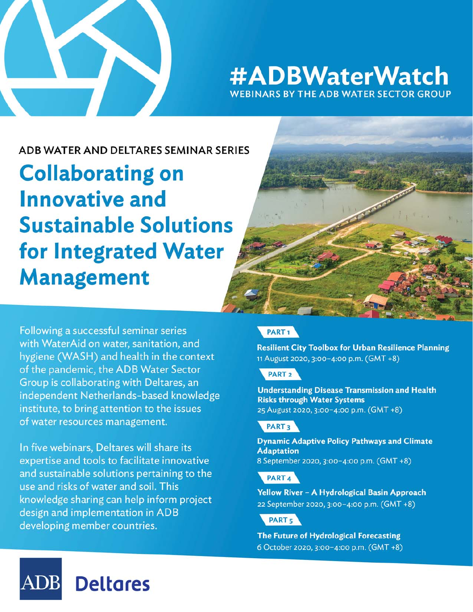

## #ADBWaterWatch **WEBINARS BY THE ADB WATER SECTOR GROUP**

### ADB WATER AND DELTARES SEMINAR SERIES

**Collaborating on Innovative and Sustainable Solutions** for Integrated Water **Management** 

Following a successful seminar series with WaterAid on water, sanitation, and hygiene (WASH) and health in the context of the pandemic, the ADB Water Sector Group is collaborating with Deltares, an independent Netherlands-based knowledge institute, to bring attention to the issues of water resources management.

In five webinars, Deltares will share its expertise and tools to facilitate innovative and sustainable solutions pertaining to the use and risks of water and soil. This knowledge sharing can help inform project design and implementation in ADB developing member countries.



**Resilient City Toolbox for Urban Resilience Planning** 11 August 2020, 3:00-4:00 p.m. (GMT +8)

### PART<sub>2</sub>

**Understanding Disease Transmission and Health Risks through Water Systems** 25 August 2020, 3:00-4:00 p.m. (GMT +8)

### PART<sub>3</sub>

**Dynamic Adaptive Policy Pathways and Climate Adaptation** 8 September 2020, 3:00-4:00 p.m. (GMT +8)

### PART<sub>4</sub>

Yellow River - A Hydrological Basin Approach 22 September 2020, 3:00-4:00 p.m. (GMT +8)

PART<sub>5</sub>

The Future of Hydrological Forecasting 6 October 2020, 3:00-4:00 p.m. (GMT +8)

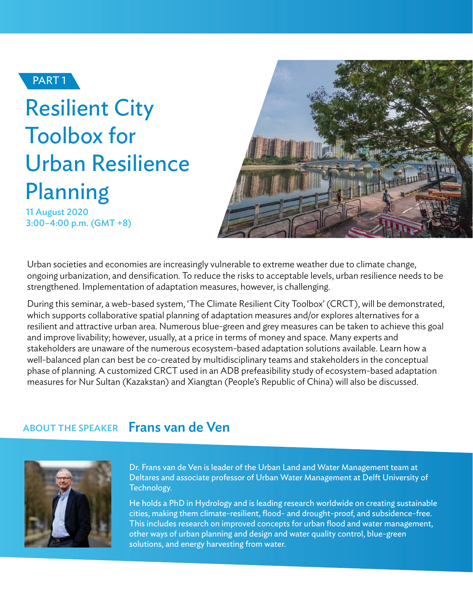

## Resilient City Toolbox for Urban Resilience Planning

11 August 2020 3:00–4:00 p.m. (GMT +8)



Urban societies and economies are increasingly vulnerable to extreme weather due to climate change, ongoing urbanization, and densification. To reduce the risks to acceptable levels, urban resilience needs to be strengthened. Implementation of adaptation measures, however, is challenging.

During this seminar, a web-based system, 'The Climate Resilient City Toolbox' (CRCT), will be demonstrated, which supports collaborative spatial planning of adaptation measures and/or explores alternatives for a resilient and attractive urban area. Numerous blue-green and grey measures can be taken to achieve this goal and improve livability; however, usually, at a price in terms of money and space. Many experts and stakeholders are unaware of the numerous ecosystem-based adaptation solutions available. Learn how a well-balanced plan can best be co-created by multidisciplinary teams and stakeholders in the conceptual phase of planning. A customized CRCT used in an ADB prefeasibility study of ecosystem-based adaptation measures for Nur Sultan (Kazakstan) and Xiangtan (People's Republic of China) will also be discussed.

### ABOUT THE SPEAKER Frans van de Ven



Dr. Frans van de Ven is leader of the Urban Land and Water Management team at Deltares and associate professor of Urban Water Management at Delft University of Technology.

He holds a PhD in Hydrology and is leading research worldwide on creating sustainable cities, making them climate-resilient, flood- and drought-proof, and subsidence-free. This includes research on improved concepts for urban flood and water management, other ways of urban planning and design and water quality control, blue-green solutions, and energy harvesting from water.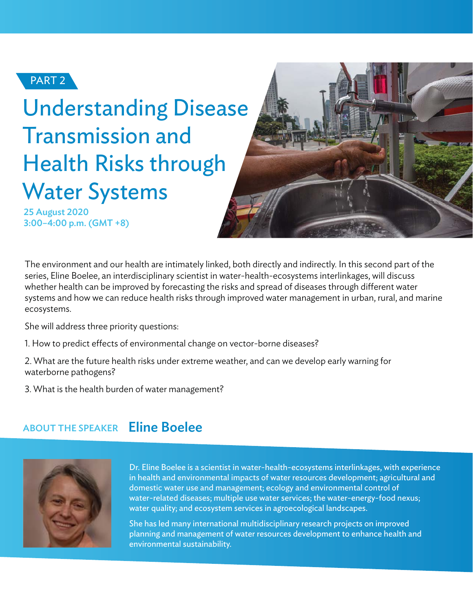

## Understanding Disease Transmission and Health Risks through Water Systems

25 August 2020 3:00–4:00 p.m. (GMT +8)



The environment and our health are intimately linked, both directly and indirectly. In this second part of the series, Eline Boelee, an interdisciplinary scientist in water-health-ecosystems interlinkages, will discuss whether health can be improved by forecasting the risks and spread of diseases through different water systems and how we can reduce health risks through improved water management in urban, rural, and marine ecosystems.

She will address three priority questions:

- 1. How to predict effects of environmental change on vector-borne diseases?
- 2. What are the future health risks under extreme weather, and can we develop early warning for waterborne pathogens?

3. What is the health burden of water management?

#### Eline Boelee ABOUT THE SPEAKER



Dr. Eline Boelee is a scientist in water-health-ecosystems interlinkages, with experience in health and environmental impacts of water resources development; agricultural and domestic water use and management; ecology and environmental control of water-related diseases; multiple use water services; the water-energy-food nexus; water quality; and ecosystem services in agroecological landscapes.

She has led many international multidisciplinary research projects on improved planning and management of water resources development to enhance health and environmental sustainability.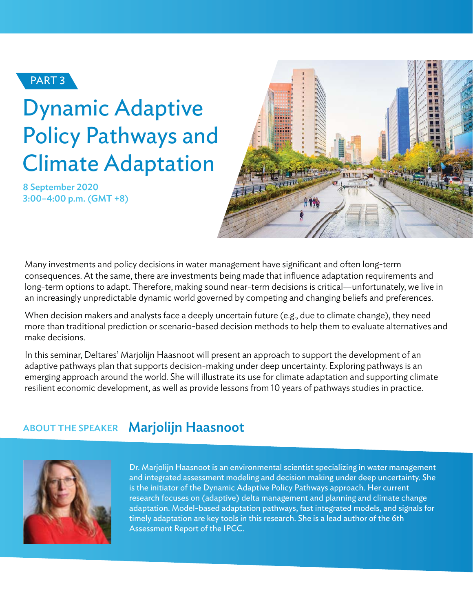

# Dynamic Adaptive Policy Pathways and Climate Adaptation

8 September 2020 3:00–4:00 p.m. (GMT +8)



Many investments and policy decisions in water management have significant and often long-term consequences. At the same, there are investments being made that influence adaptation requirements and long-term options to adapt. Therefore, making sound near-term decisions is critical—unfortunately, we live in an increasingly unpredictable dynamic world governed by competing and changing beliefs and preferences.

When decision makers and analysts face a deeply uncertain future (e.g., due to climate change), they need more than traditional prediction or scenario-based decision methods to help them to evaluate alternatives and make decisions.

In this seminar, Deltares' Marjolijn Haasnoot will present an approach to support the development of an adaptive pathways plan that supports decision-making under deep uncertainty. Exploring pathways is an emerging approach around the world. She will illustrate its use for climate adaptation and supporting climate resilient economic development, as well as provide lessons from 10 years of pathways studies in practice.

#### Marjolijn Haasnoot ABOUT THE SPEAKER



Dr. Marjolijn Haasnoot is an environmental scientist specializing in water management and integrated assessment modeling and decision making under deep uncertainty. She is the initiator of the Dynamic Adaptive Policy Pathways approach. Her current research focuses on (adaptive) delta management and planning and climate change adaptation. Model-based adaptation pathways, fast integrated models, and signals for timely adaptation are key tools in this research. She is a lead author of the 6th Assessment Report of the IPCC.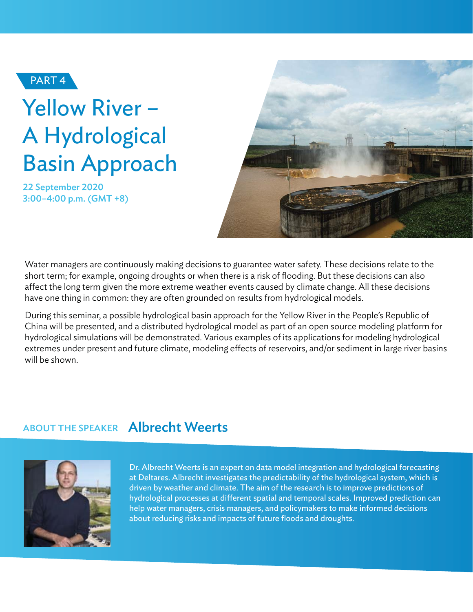

# Yellow River – A Hydrological Basin Approach

22 September 2020 3:00–4:00 p.m. (GMT +8)



Water managers are continuously making decisions to guarantee water safety. These decisions relate to the short term; for example, ongoing droughts or when there is a risk of flooding. But these decisions can also affect the long term given the more extreme weather events caused by climate change. All these decisions have one thing in common: they are often grounded on results from hydrological models.

During this seminar, a possible hydrological basin approach for the Yellow River in the People's Republic of China will be presented, and a distributed hydrological model as part of an open source modeling platform for hydrological simulations will be demonstrated. Various examples of its applications for modeling hydrological extremes under present and future climate, modeling effects of reservoirs, and/or sediment in large river basins will be shown.

## ABOUT THE SPEAKER Albrecht Weerts



Dr. Albrecht Weerts is an expert on data model integration and hydrological forecasting at Deltares. Albrecht investigates the predictability of the hydrological system, which is driven by weather and climate. The aim of the research is to improve predictions of hydrological processes at different spatial and temporal scales. Improved prediction can help water managers, crisis managers, and policymakers to make informed decisions about reducing risks and impacts of future floods and droughts.